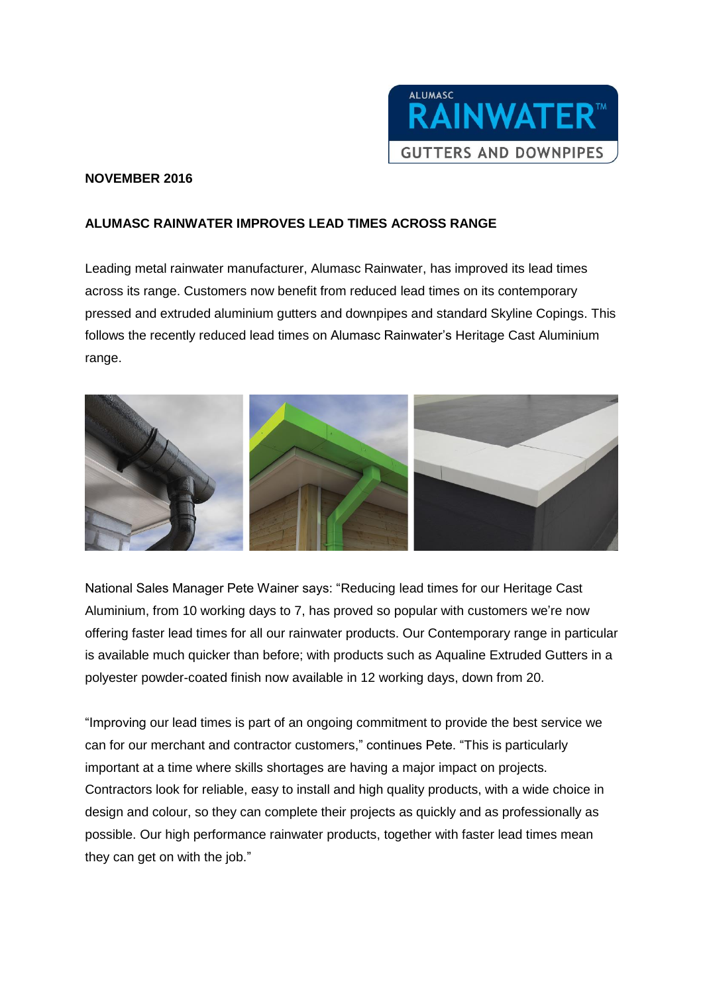

## **NOVEMBER 2016**

## **ALUMASC RAINWATER IMPROVES LEAD TIMES ACROSS RANGE**

Leading metal rainwater manufacturer, Alumasc Rainwater, has improved its lead times across its range. Customers now benefit from reduced lead times on its contemporary pressed and extruded aluminium gutters and downpipes and standard Skyline Copings. This follows the recently reduced lead times on Alumasc Rainwater's Heritage Cast Aluminium range.



National Sales Manager Pete Wainer says: "Reducing lead times for our Heritage Cast Aluminium, from 10 working days to 7, has proved so popular with customers we're now offering faster lead times for all our rainwater products. Our Contemporary range in particular is available much quicker than before; with products such as Aqualine Extruded Gutters in a polyester powder-coated finish now available in 12 working days, down from 20.

"Improving our lead times is part of an ongoing commitment to provide the best service we can for our merchant and contractor customers," continues Pete. "This is particularly important at a time where skills shortages are having a major impact on projects. Contractors look for reliable, easy to install and high quality products, with a wide choice in design and colour, so they can complete their projects as quickly and as professionally as possible. Our high performance rainwater products, together with faster lead times mean they can get on with the job."